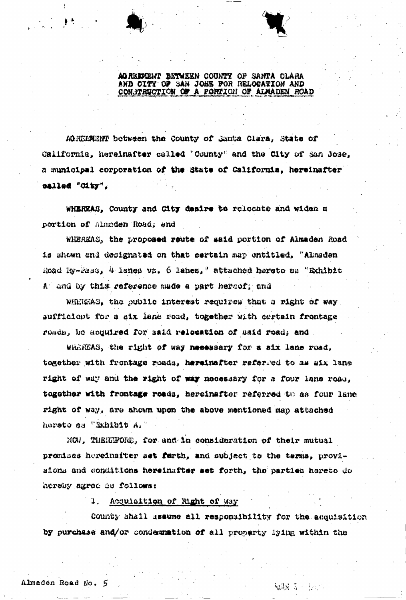AGREMENT BETWEEN COUNTY OF SANTA CLARA CONSTRUCTION OF A PORTION OF ALMADEN ROAD

AGREEMENT between the County of Janta Clara, State of California, hereinafter called "County" and the City of San Jose, a municipal corporation of the State of California, hereinafter called "Oity",

WHEREAS, County and City desire to relocate and widen a portion of Almaden Road; and

WHEREAS, the proposed route of said portion of Almaden Road is shown and designated on that certain map entitled, "Almaden Road Ry-Fass, 4 lanes vs. 6 lanes," attached hereto as "Exhibit A and by this reference made a part hereof; and

WHEREAS, the public interest requires that a right of way aufficient for a six lane road, together with certain frontage reads, be acquired for said relocation of said road; and

Whereas, the right of way necessary for a six lane road, together with frontage roads, hereinafter referred to as aix lane right of way and the right of way necessary for a four lane road, together with frontage roads, hereinafter referred to as four lane right of way, are shown upon the above mentioned map attached herato as "Exhibit A."

NON, THEREFORE, for and in consideration of their mutual promises hereinafter set farth, and subject to the terms, provisions and conditions hereinafter set forth, the parties hereto do hereby agree as follows:

1. Acquisition of Right of Way

County shall assume all responsibility for the acquisition by purchase and/or condemnation of all property lying within the

編成 ふっ 化二十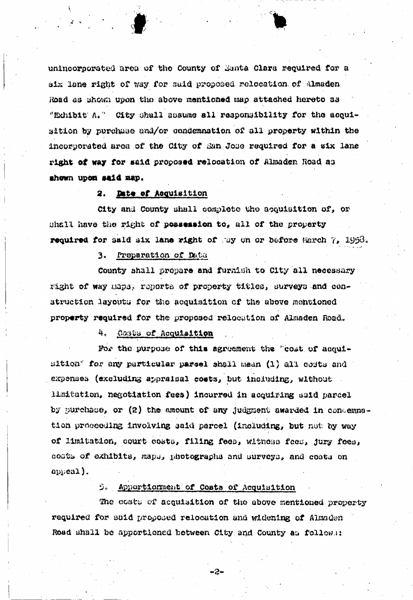unincorporated area of the County of Santa Clara required for a six lane right of way for said proposed relocation of Almaden Road as shown upon the above mentioned map attached hereto as "Exhibit A." City shall assume all responsibility for the acquisition by purchase and/or condemnation of all property within the incorporated area of the City of Ean Jose required for a six lane right of way for said proposed relocation of Almaden Road as ahown upon said map.

### Date of Acquisition 2.

City and County shall complete the acquisition of, or shall have the right of peasession to, all of the property required for said six lane right of way on or before March 7, 1953.

### 3. Preparation of Data

County shall prepare and furnish to City all necessary right of way maps, reports of property titles, surveys and construction layouts for the acquisition of the above mentioned property required for the proposed relocation of Almaden Road.

#### Costs of Acquisition 4.

For the purpose of this agreement the "cost of acquisition" for any particular parcel shall mean (1) all costs and expenses (excluding appraisal costs, but including, without limitation, negotiation fees) incurred in acquiring said parcel by purchase, or  $(2)$  the amount of any judgment awarded in concemnation proceeding involving said parcel (including, but not by way of limitation, court costs, filing fees, witness fees, jury fees, costs of exhibits, maps, photographs and surveys, and costs on appeal).

# 9. Apportionment of Costs of Acquisition

The costs of acquisition of the above mentioned property required for suid proposed relocation and widening of Almaden Road shall be apportioned between City and County as follows:

-2-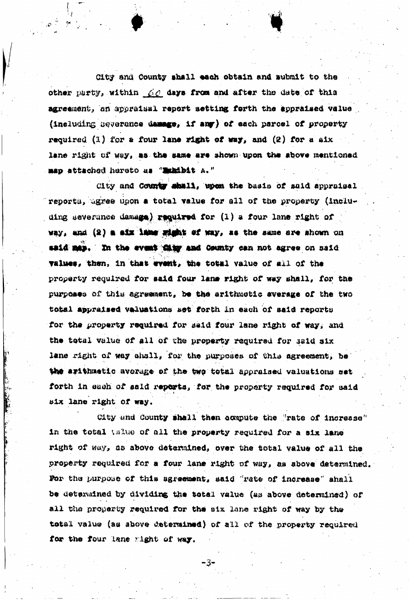Git? and County shall each obtain and submit to the other party, within  $f/c$  days from and after the date of this agreement, an appraisal report setting forth the appraiaed value (including aeverance damnge, if any) of each parcel of property required (1) for a four lane right of way, and (2) for a aix lane right of way, as the same are shown upon the above mentioned map attached hereto as "Exhibit A."

City and County shall, upon the basis of said appraisel reports, agree upon a total value for all of the property (insiuding severance damage) required for  $(1)$  a four lane right of way, and  $(2)$  a aix lame wisht of way, as the same are shown on said map. In the event this and County can not agree on said values, then, in that event, the total value of all of the property required for said four lane right of way shall, for the purpoaaa of thia agreement, be the arithmetic average of tha two total appraised valuations set forth in each of aald reports for the property required for said four lane right of way; and the total value of all of tha property required for said aix lane right of way shall, for the purposes of this agreement, be the arithmetic average of the two total appraised valuations set forth in each of said reports, for the property required for said • • < aix lane right of way.

City und County shall then compute the "rate of increase" in the total value of all the property required for a six lane right of way, aa above determined, over the total value of all tha property required for a four lane right of way, aa above determined For the purpose of this agreement, said "rate of increase" shall be determined by dividing the total value (as above determined) of all the property required for the six lane right of way by the total value (an above determined) of all of the property required for the four lane right of way.

-3-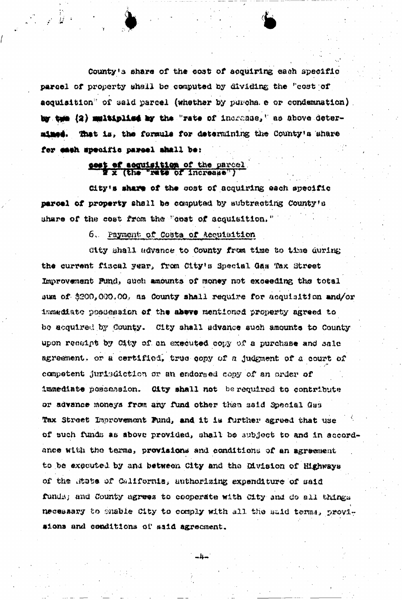County's share of the cost of acquiring each specific parcel of property shall be computed by dividing the "cost of acquisition" of said parcel (whether by purcha e or condemnation). by twe (2) multiplies by the "rate of increase," as above deter-That is, the formula for determining the County's share nimed. for each specific pareal ahall be:

# sest of seguisition of the parcel

City's share of the cost of acquiring each specific parcel of property shall be computed by subtracting County's share of the cost from the "opat of acquisition."

## 6. Payment of Costs of Accuisition

City shall advance to County from time to time during the current fiscal year, from City's Special Gas Tax Street Improvement Pund, such amounts of money not exceeding the total sum of \$200,000.00, as County shall require for acquisition and/or immediate possession of the above mentioned property agreed to be acquired by County. City shall advance such amounts to County. upon receipt by City of an executed copy of a purchase and sale agreement, or a certified, true copy of a judgment of a court of competent jurisdiction or an endorsed copy of an order of immediate possession. Oity shall not be required to contribute or advance moneys from any fund other than said Special Gas Tax Street Improvement Fund, and it is further agreed that use of such funds as above provided, shall be subject to and in accordance with the terms, provisions and conditions of an agreement to be executed by and between City and the Division of Highways of the State of California, authorizing expenditure of said funds; and County agrees to cooperate with City and do all things necessary to shable City to comply with all the said terms, provisions and conditions of said agreement.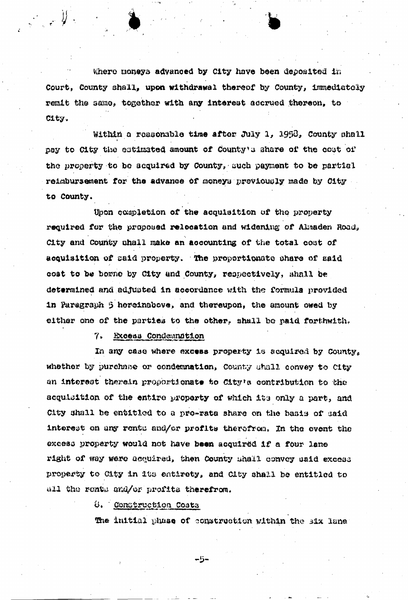Where moneys advanced by City have been deposited in Court, County ahall, upon withdrawal thereof by County, immediately remit the same, together with any interest accrued thereon, to City.

 $\bullet$  .  $\bullet$ 

Within a reasonable time after July 1, 1958, County shall i pay to City the estimated amount of County's share of the cost of the property to bo acquired by County, uuch payment to be partial reimbursement for the advance of moneys previously made by City to County.

then completion of the acquisition of the property required for the proposed relocation and widening of Almaden Road, City and County ohall make an accounting of the total coat of acquisition of said property. The proportionate share of said coat to be borne by City and County, respectively, shall be determined and adjusted in accordance with the formula provided in Paragraph 5 hereinabove, and thereupon, the amount owed by either one of the parties to the other, shall be paid forthwith.

7. Excess Condemnation

 $\mathbb{R}^2 \times \mathbb{R}$ 

In any case where excess property is acquired by County. whether by purchase or condemnation, County shall convey to City an interest therein proportionate to City's contribution to the acquisition of the entire property of which its only a part, and City shall be entitled to a pro-rata share on the baaia of aaid interest on any rents and/or profits therefrom. In the event the excess property would not have been acquired if a four lane right of way were acquired, then County shall convey said excess property to City in its entirety, and City shall be entitled to all the rents and/or profits therefrom.

 $\theta$ . Construction Costs

The initial phase of construction within the six lane

 $-5-$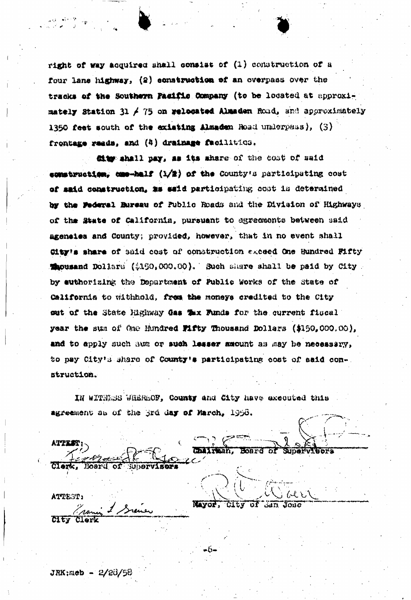right of way acquired shall consist of (1) construction of a four lane highway, (2) construction of an overpass over the tracks of the Southern Pacific Company (to be located at approximately Station 31 / 75 on relocated Almaden Road, and approximately 1350 feet south of the existing Almadem Road underpass), (3) frontage reads, and (4) drainage facilities.

diw shall pay, as its share of the cost of said construction.  $\cos-\alpha$ 15 (1/2) of the County's participating cost of said construction, as said participating cont in determined by the Pederal Bureau of Public Roads and the Division of Highways of the State of California, pursuant to agreements between said ageneies and County; provided, however, that in no event shall City's share of said cost of construction exceed One Hundred Fifty Macusand Dollars (\$190,000.00). Such share shall be paid by City. by euthorizing the Department of Public Works of the State of California to withhold, from the moneys credited to the City out of the State Highway Gas Tux Funds for the current fiscal year the sum of the Hundred Fifty Thousand Dollars (\$150,000.00), and to apply such sum or such lesser amount as may be necessary, to pay City's share of County's participating cost of said construction.

IN WITNESS WHEREOF, County and City have executed this agreement as of the 3rd day of March, 1956.

**ATPEST** Chairman, Board of Supervivers Clerk. Board of Subervisers ATTEST: Navor, City of San Jose Francis & Siever

 $+6-$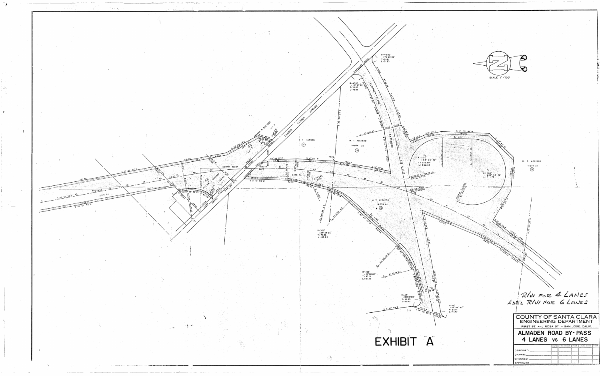